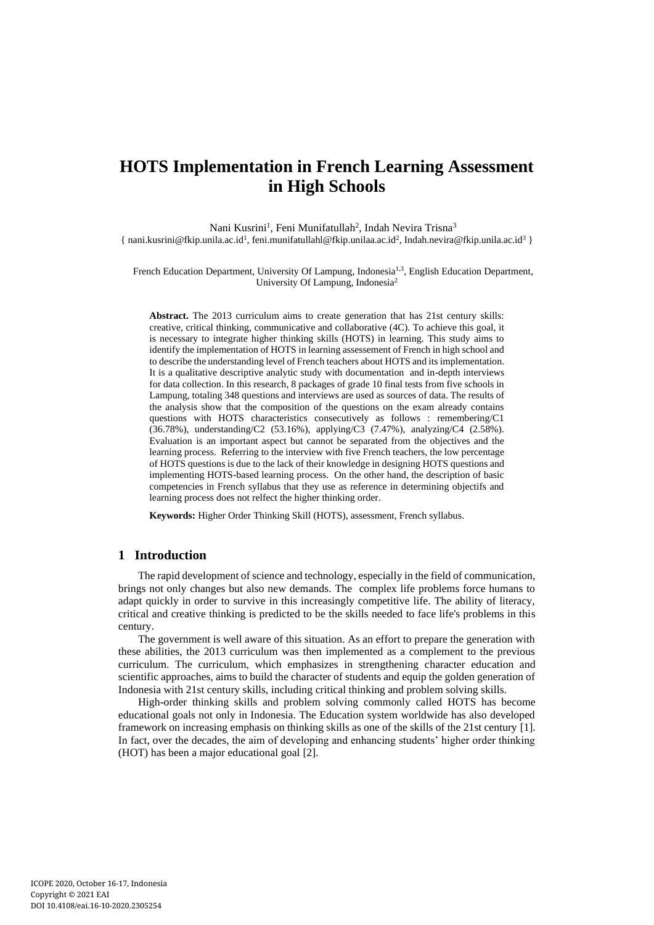# **HOTS Implementation in French Learning Assessment in High Schools**

Nani Kusrini<sup>1</sup>, Feni Munifatullah<sup>2</sup>, Indah Nevira Trisna<sup>3</sup> { nani.kusrini@fkip.unila.ac.id<sup>1</sup>, feni.munifatullahl@fkip.unilaa.ac.id<sup>2</sup>, Indah.nevira@fkip.unila.ac.id<sup>3</sup> }

French Education Department, University Of Lampung, Indonesia<sup>1,3</sup>, English Education Department, University Of Lampung, Indonesia<sup>2</sup>

**Abstract.** The 2013 curriculum aims to create generation that has 21st century skills: creative, critical thinking, communicative and collaborative (4C). To achieve this goal, it is necessary to integrate higher thinking skills (HOTS) in learning. This study aims to identify the implementation of HOTS in learning assessement of French in high school and to describe the understanding level of French teachers about HOTS and its implementation. It is a qualitative descriptive analytic study with documentation and in-depth interviews for data collection. In this research, 8 packages of grade 10 final tests from five schools in Lampung, totaling 348 questions and interviews are used as sources of data. The results of the analysis show that the composition of the questions on the exam already contains questions with HOTS characteristics consecutively as follows : remembering/C1 (36.78%), understanding/C2 (53.16%), applying/C3 (7.47%), analyzing/C4 (2.58%). Evaluation is an important aspect but cannot be separated from the objectives and the learning process. Referring to the interview with five French teachers, the low percentage of HOTS questions is due to the lack of their knowledge in designing HOTS questions and implementing HOTS-based learning process. On the other hand, the description of basic competencies in French syllabus that they use as reference in determining objectifs and learning process does not relfect the higher thinking order.

**Keywords:** Higher Order Thinking Skill (HOTS), assessment, French syllabus.

# **1 Introduction**

The rapid development of science and technology, especially in the field of communication, brings not only changes but also new demands. The complex life problems force humans to adapt quickly in order to survive in this increasingly competitive life. The ability of literacy, critical and creative thinking is predicted to be the skills needed to face life's problems in this century.

The government is well aware of this situation. As an effort to prepare the generation with these abilities, the 2013 curriculum was then implemented as a complement to the previous curriculum. The curriculum, which emphasizes in strengthening character education and scientific approaches, aims to build the character of students and equip the golden generation of Indonesia with 21st century skills, including critical thinking and problem solving skills.

High-order thinking skills and problem solving commonly called HOTS has become educational goals not only in Indonesia. The Education system worldwide has also developed framework on increasing emphasis on thinking skills as one of the skills of the 21st century [1]. In fact, over the decades, the aim of developing and enhancing students' higher order thinking (HOT) has been a major educational goal [2].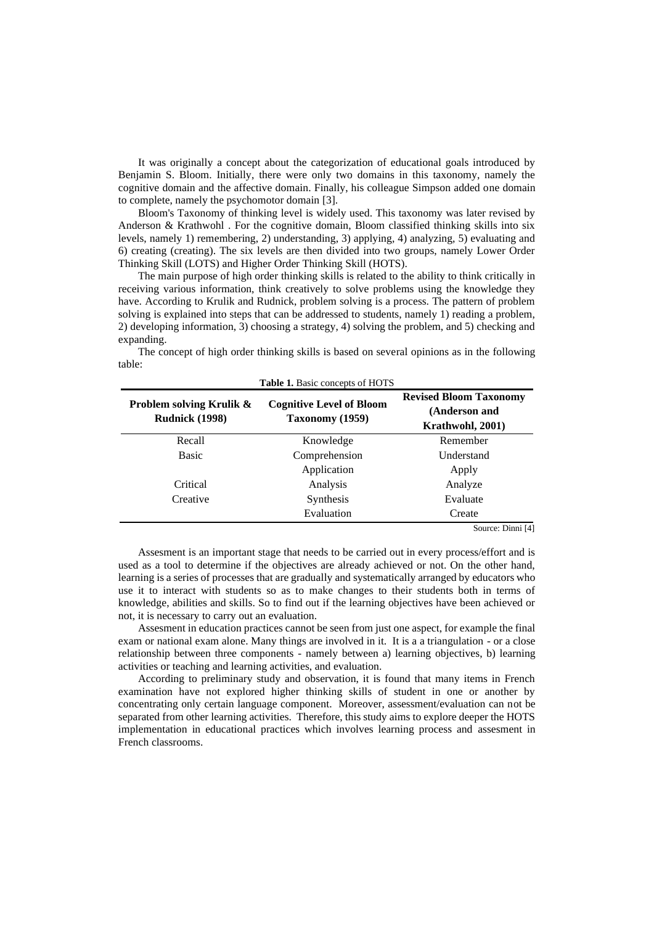It was originally a concept about the categorization of educational goals introduced by Benjamin S. Bloom. Initially, there were only two domains in this taxonomy, namely the cognitive domain and the affective domain. Finally, his colleague Simpson added one domain to complete, namely the psychomotor domain [3].

Bloom's Taxonomy of thinking level is widely used. This taxonomy was later revised by Anderson & Krathwohl . For the cognitive domain, Bloom classified thinking skills into six levels, namely 1) remembering, 2) understanding, 3) applying, 4) analyzing, 5) evaluating and 6) creating (creating). The six levels are then divided into two groups, namely Lower Order Thinking Skill (LOTS) and Higher Order Thinking Skill (HOTS).

The main purpose of high order thinking skills is related to the ability to think critically in receiving various information, think creatively to solve problems using the knowledge they have. According to Krulik and Rudnick, problem solving is a process. The pattern of problem solving is explained into steps that can be addressed to students, namely 1) reading a problem, 2) developing information, 3) choosing a strategy, 4) solving the problem, and 5) checking and expanding.

| <b>Table 1.</b> Basic concepts of HOTS                       |                                                    |                                                                    |  |  |  |  |  |
|--------------------------------------------------------------|----------------------------------------------------|--------------------------------------------------------------------|--|--|--|--|--|
| <b>Problem solving Krulik &amp;</b><br><b>Rudnick (1998)</b> | <b>Cognitive Level of Bloom</b><br>Taxonomy (1959) | <b>Revised Bloom Taxonomy</b><br>(Anderson and<br>Krathwohl, 2001) |  |  |  |  |  |
| Recall                                                       | Knowledge                                          | Remember                                                           |  |  |  |  |  |
| <b>Basic</b>                                                 | Comprehension                                      | Understand                                                         |  |  |  |  |  |
|                                                              | Application                                        | Apply                                                              |  |  |  |  |  |
| Critical                                                     | Analysis                                           | Analyze                                                            |  |  |  |  |  |
| Creative                                                     | Synthesis                                          | Evaluate                                                           |  |  |  |  |  |
|                                                              | Evaluation                                         | Create<br>$\mathbf{m}^* = \mathbf{r} + \mathbf{r}$<br>$\sim$       |  |  |  |  |  |

The concept of high order thinking skills is based on several opinions as in the following table:

Source: Dinni [4]

Assesment is an important stage that needs to be carried out in every process/effort and is used as a tool to determine if the objectives are already achieved or not. On the other hand, learning is a series of processes that are gradually and systematically arranged by educators who use it to interact with students so as to make changes to their students both in terms of knowledge, abilities and skills. So to find out if the learning objectives have been achieved or not, it is necessary to carry out an evaluation.

Assesment in education practices cannot be seen from just one aspect, for example the final exam or national exam alone. Many things are involved in it. It is a a triangulation - or a close relationship between three components - namely between a) learning objectives, b) learning activities or teaching and learning activities, and evaluation.

According to preliminary study and observation, it is found that many items in French examination have not explored higher thinking skills of student in one or another by concentrating only certain language component. Moreover, assessment/evaluation can not be separated from other learning activities. Therefore, this study aims to explore deeper the HOTS implementation in educational practices which involves learning process and assesment in French classrooms.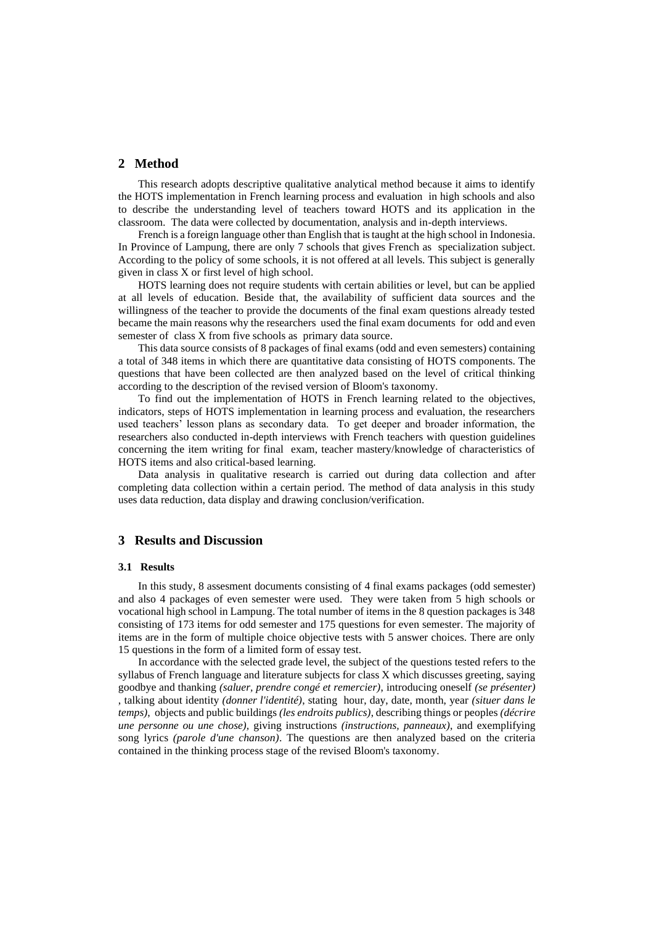# **2 Method**

This research adopts descriptive qualitative analytical method because it aims to identify the HOTS implementation in French learning process and evaluation in high schools and also to describe the understanding level of teachers toward HOTS and its application in the classroom. The data were collected by documentation, analysis and in-depth interviews.

French is a foreign language other than English that is taught at the high school in Indonesia. In Province of Lampung, there are only 7 schools that gives French as specialization subject. According to the policy of some schools, it is not offered at all levels. This subject is generally given in class X or first level of high school.

HOTS learning does not require students with certain abilities or level, but can be applied at all levels of education. Beside that, the availability of sufficient data sources and the willingness of the teacher to provide the documents of the final exam questions already tested became the main reasons why the researchers used the final exam documents for odd and even semester of class X from five schools as primary data source.

This data source consists of 8 packages of final exams (odd and even semesters) containing a total of 348 items in which there are quantitative data consisting of HOTS components. The questions that have been collected are then analyzed based on the level of critical thinking according to the description of the revised version of Bloom's taxonomy.

To find out the implementation of HOTS in French learning related to the objectives, indicators, steps of HOTS implementation in learning process and evaluation, the researchers used teachers' lesson plans as secondary data. To get deeper and broader information, the researchers also conducted in-depth interviews with French teachers with question guidelines concerning the item writing for final exam, teacher mastery/knowledge of characteristics of HOTS items and also critical-based learning.

Data analysis in qualitative research is carried out during data collection and after completing data collection within a certain period. The method of data analysis in this study uses data reduction, data display and drawing conclusion/verification.

# **3 Results and Discussion**

#### **3.1 Results**

In this study, 8 assesment documents consisting of 4 final exams packages (odd semester) and also 4 packages of even semester were used. They were taken from 5 high schools or vocational high school in Lampung. The total number of items in the 8 question packages is 348 consisting of 173 items for odd semester and 175 questions for even semester. The majority of items are in the form of multiple choice objective tests with 5 answer choices. There are only 15 questions in the form of a limited form of essay test.

In accordance with the selected grade level, the subject of the questions tested refers to the syllabus of French language and literature subjects for class X which discusses greeting, saying goodbye and thanking *(saluer, prendre congé et remercier)*, introducing oneself *(se présenter)*  , talking about identity *(donner l'identité)*, stating hour, day, date, month, year *(situer dans le temps)*, objects and public buildings *(les endroits publics)*, describing things or peoples *(décrire une personne ou une chose),* giving instructions *(instructions, panneaux)*, and exemplifying song lyrics *(parole d'une chanson)*. The questions are then analyzed based on the criteria contained in the thinking process stage of the revised Bloom's taxonomy.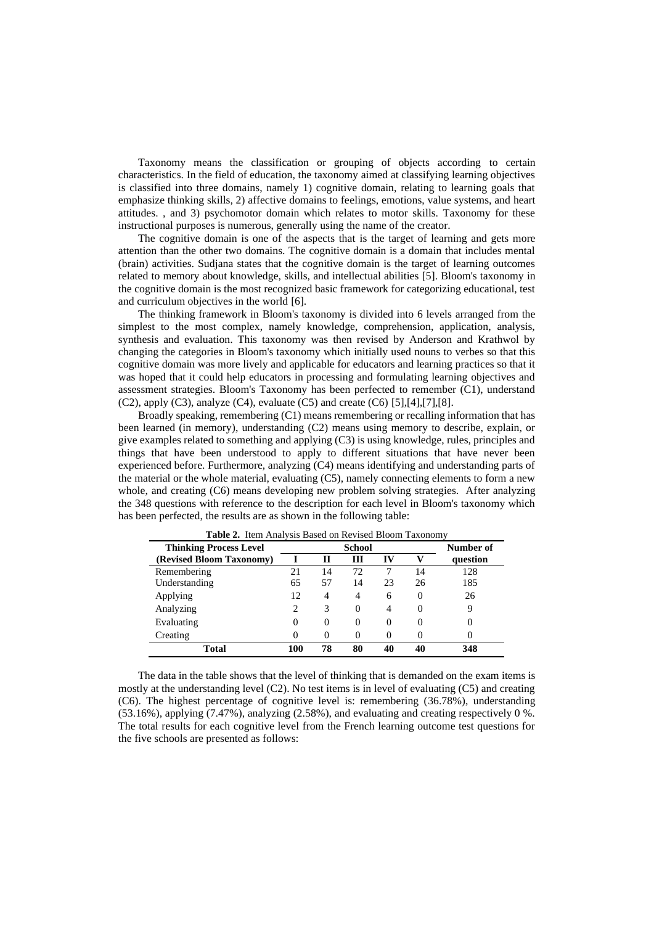Taxonomy means the classification or grouping of objects according to certain characteristics. In the field of education, the taxonomy aimed at classifying learning objectives is classified into three domains, namely 1) cognitive domain, relating to learning goals that emphasize thinking skills, 2) affective domains to feelings, emotions, value systems, and heart attitudes. , and 3) psychomotor domain which relates to motor skills. Taxonomy for these instructional purposes is numerous, generally using the name of the creator.

The cognitive domain is one of the aspects that is the target of learning and gets more attention than the other two domains. The cognitive domain is a domain that includes mental (brain) activities. Sudjana states that the cognitive domain is the target of learning outcomes related to memory about knowledge, skills, and intellectual abilities [5]. Bloom's taxonomy in the cognitive domain is the most recognized basic framework for categorizing educational, test and curriculum objectives in the world [6].

The thinking framework in Bloom's taxonomy is divided into 6 levels arranged from the simplest to the most complex, namely knowledge, comprehension, application, analysis, synthesis and evaluation. This taxonomy was then revised by Anderson and Krathwol by changing the categories in Bloom's taxonomy which initially used nouns to verbes so that this cognitive domain was more lively and applicable for educators and learning practices so that it was hoped that it could help educators in processing and formulating learning objectives and assessment strategies. Bloom's Taxonomy has been perfected to remember (C1), understand (C2), apply (C3), analyze (C4), evaluate (C5) and create (C6)  $[5]$ , $[4]$ , $[7]$ , $[8]$ .

Broadly speaking, remembering (C1) means remembering or recalling information that has been learned (in memory), understanding (C2) means using memory to describe, explain, or give examples related to something and applying (C3) is using knowledge, rules, principles and things that have been understood to apply to different situations that have never been experienced before. Furthermore, analyzing (C4) means identifying and understanding parts of the material or the whole material, evaluating (C5), namely connecting elements to form a new whole, and creating (C6) means developing new problem solving strategies. After analyzing the 348 questions with reference to the description for each level in Bloom's taxonomy which has been perfected, the results are as shown in the following table:

| <b>Thinking Process Level</b> | <b>School</b> |          |    |          |          | Number of |
|-------------------------------|---------------|----------|----|----------|----------|-----------|
| (Revised Bloom Taxonomy)      |               | Н        | Ш  | IV       |          | question  |
| Remembering                   | 21            | 14       | 72 |          | 14       | 128       |
| Understanding                 | 65            | 57       | 14 | 23       | 26       | 185       |
| Applying                      | 12            | 4        | 4  | 6        | 0        | 26        |
| Analyzing                     |               | 3        | 0  | 4        | 0        |           |
| Evaluating                    | 0             | $\theta$ | 0  | $\Omega$ | $\theta$ |           |
| Creating                      | 0             | 0        | 0  | 0        | $\theta$ |           |
| <b>Total</b>                  | 100           | 78       | 80 | 40       | 40       | 348       |

**Table 2.** Item Analysis Based on Revised Bloom Taxonomy

The data in the table shows that the level of thinking that is demanded on the exam items is mostly at the understanding level (C2). No test items is in level of evaluating (C5) and creating (C6). The highest percentage of cognitive level is: remembering (36.78%), understanding (53.16%), applying (7.47%), analyzing (2.58%), and evaluating and creating respectively 0 %. The total results for each cognitive level from the French learning outcome test questions for the five schools are presented as follows: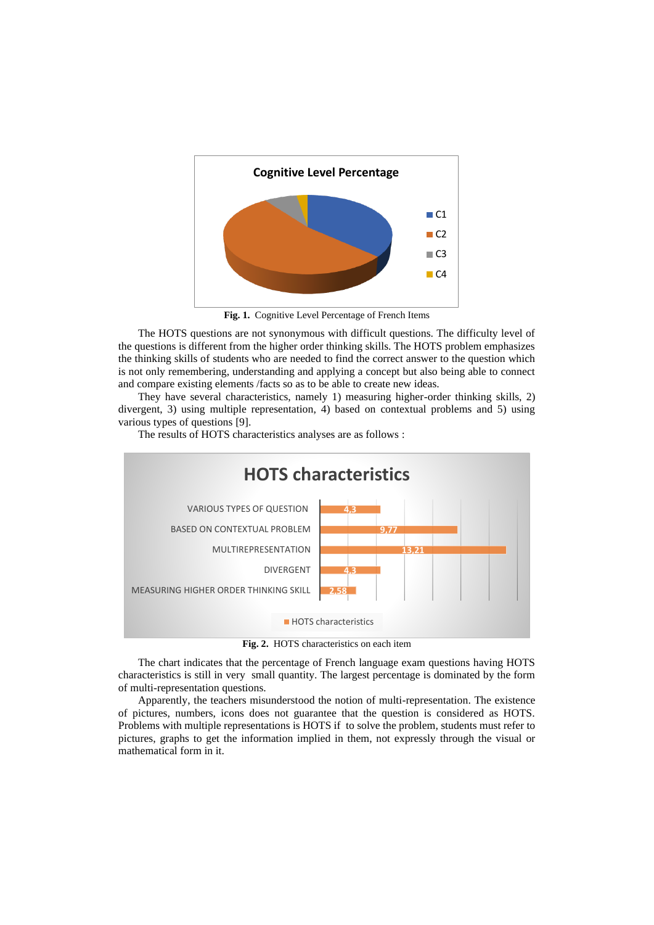

**Fig. 1.** Cognitive Level Percentage of French Items

The HOTS questions are not synonymous with difficult questions. The difficulty level of the questions is different from the higher order thinking skills. The HOTS problem emphasizes the thinking skills of students who are needed to find the correct answer to the question which is not only remembering, understanding and applying a concept but also being able to connect and compare existing elements /facts so as to be able to create new ideas.

They have several characteristics, namely 1) measuring higher-order thinking skills, 2) divergent, 3) using multiple representation, 4) based on contextual problems and 5) using various types of questions [9].

The results of HOTS characteristics analyses are as follows :



**Fig. 2.** HOTS characteristics on each item

The chart indicates that the percentage of French language exam questions having HOTS characteristics is still in very small quantity. The largest percentage is dominated by the form of multi-representation questions.

Apparently, the teachers misunderstood the notion of multi-representation. The existence of pictures, numbers, icons does not guarantee that the question is considered as HOTS. Problems with multiple representations is HOTS if to solve the problem, students must refer to pictures, graphs to get the information implied in them, not expressly through the visual or mathematical form in it.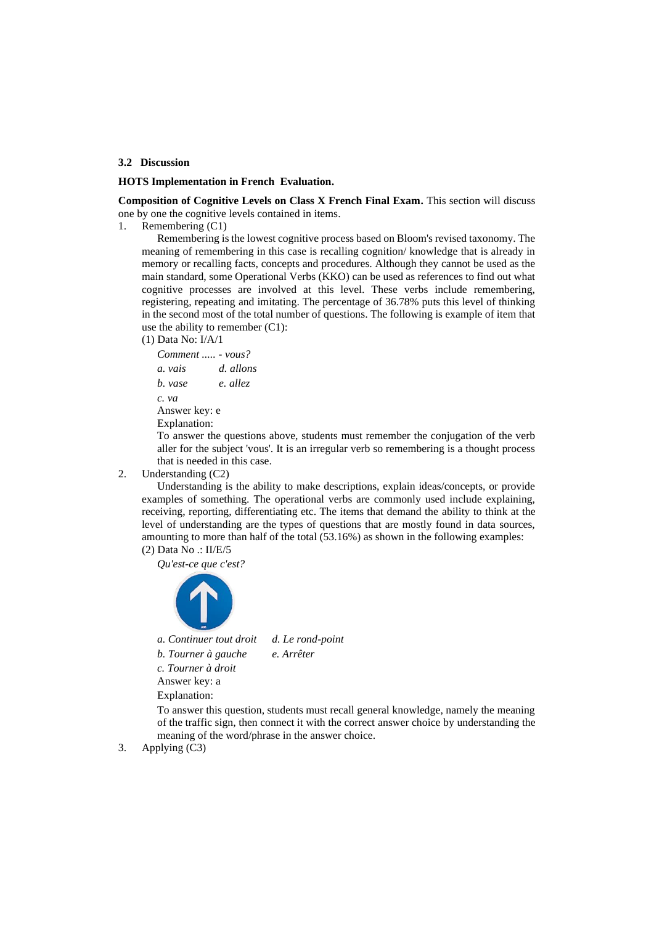# **3.2 Discussion**

## **HOTS Implementation in French Evaluation.**

**Composition of Cognitive Levels on Class X French Final Exam.** This section will discuss one by one the cognitive levels contained in items.

1. Remembering (C1)

Remembering is the lowest cognitive process based on Bloom's revised taxonomy. The meaning of remembering in this case is recalling cognition/ knowledge that is already in memory or recalling facts, concepts and procedures. Although they cannot be used as the main standard, some Operational Verbs (KKO) can be used as references to find out what cognitive processes are involved at this level. These verbs include remembering, registering, repeating and imitating. The percentage of 36.78% puts this level of thinking in the second most of the total number of questions. The following is example of item that use the ability to remember (C1):

(1) Data No: I/A/1

*Comment ..... - vous? a. vais d. allons b. vase e. allez c. va* Answer key: e Explanation:

To answer the questions above, students must remember the conjugation of the verb aller for the subject 'vous'. It is an irregular verb so remembering is a thought process that is needed in this case.

2. Understanding (C2)

Understanding is the ability to make descriptions, explain ideas/concepts, or provide examples of something. The operational verbs are commonly used include explaining, receiving, reporting, differentiating etc. The items that demand the ability to think at the level of understanding are the types of questions that are mostly found in data sources, amounting to more than half of the total (53.16%) as shown in the following examples: (2) Data No .: II/E/5

*Qu'est-ce que c'est?*



*a. Continuer tout droit d. Le rond-point*

*b. Tourner à gauche e. Arrêter*

*c. Tourner à droit*

Answer key: a

Explanation:

To answer this question, students must recall general knowledge, namely the meaning of the traffic sign, then connect it with the correct answer choice by understanding the meaning of the word/phrase in the answer choice.

3. Applying (C3)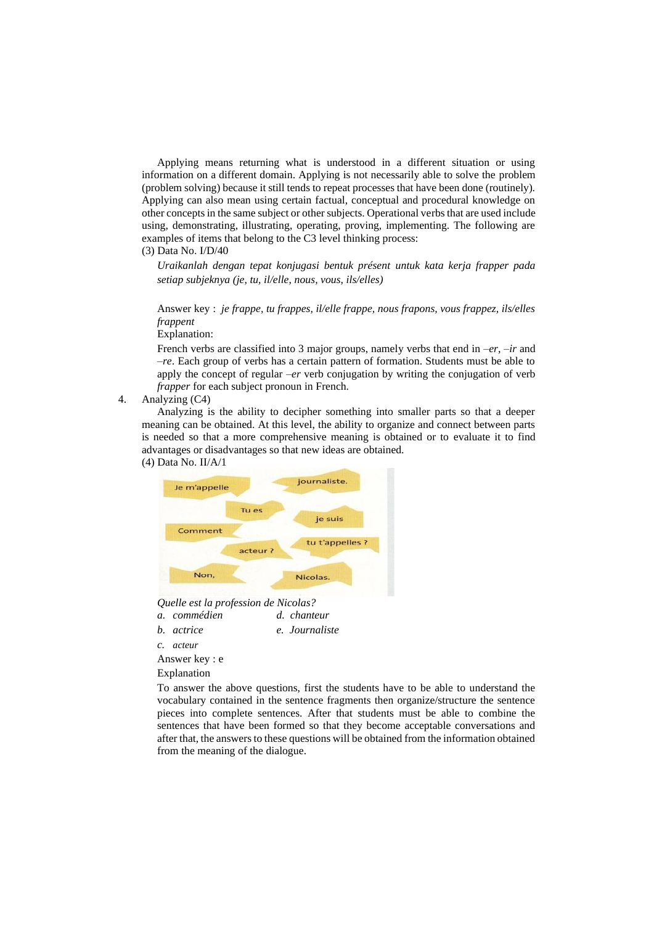Applying means returning what is understood in a different situation or using information on a different domain. Applying is not necessarily able to solve the problem (problem solving) because it still tends to repeat processes that have been done (routinely). Applying can also mean using certain factual, conceptual and procedural knowledge on other concepts in the same subject or other subjects. Operational verbs that are used include using, demonstrating, illustrating, operating, proving, implementing. The following are examples of items that belong to the C3 level thinking process:

(3) Data No. I/D/40

*Uraikanlah dengan tepat konjugasi bentuk présent untuk kata kerja frapper pada setiap subjeknya (je, tu, il/elle, nous, vous, ils/elles)*

Answer key : *je frappe, tu frappes, il/elle frappe, nous frapons, vous frappez, ils/elles frappent*

Explanation:

French verbs are classified into 3 major groups, namely verbs that end in *–er, –ir* and *–re*. Each group of verbs has a certain pattern of formation. Students must be able to apply the concept of regular *–er* verb conjugation by writing the conjugation of verb *frapper* for each subject pronoun in French.

4. Analyzing (C4)

Analyzing is the ability to decipher something into smaller parts so that a deeper meaning can be obtained. At this level, the ability to organize and connect between parts is needed so that a more comprehensive meaning is obtained or to evaluate it to find advantages or disadvantages so that new ideas are obtained.

(4) Data No. II/A/1



*Quelle est la profession de Nicolas?*

- *a. commédien d. chanteur*
- *b. actrice e. Journaliste*

*c. acteur*

Answer key : e

Explanation

To answer the above questions, first the students have to be able to understand the vocabulary contained in the sentence fragments then organize/structure the sentence pieces into complete sentences. After that students must be able to combine the sentences that have been formed so that they become acceptable conversations and after that, the answers to these questions will be obtained from the information obtained from the meaning of the dialogue.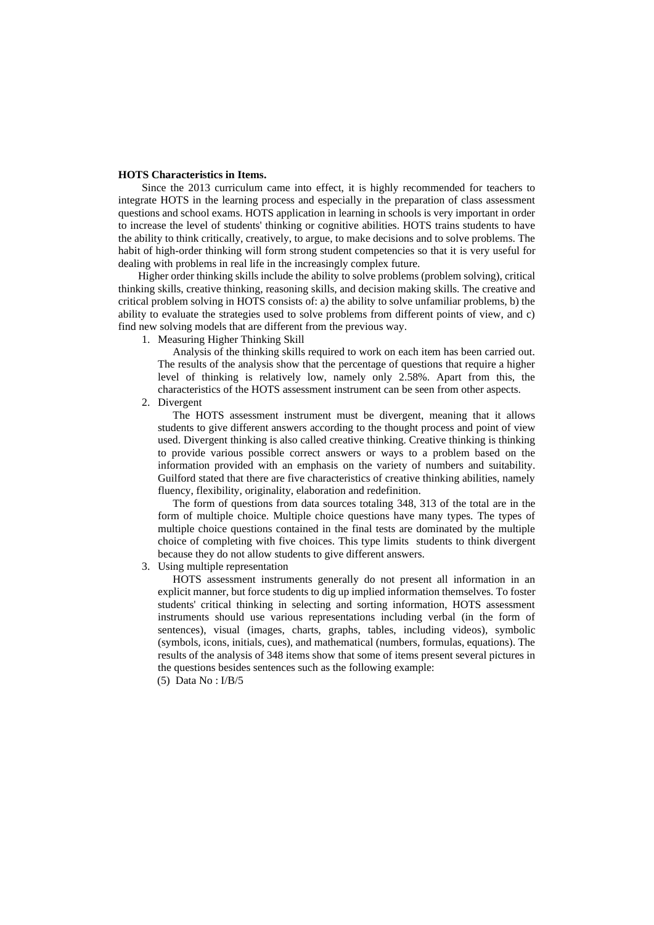#### **HOTS Characteristics in Items.**

Since the 2013 curriculum came into effect, it is highly recommended for teachers to integrate HOTS in the learning process and especially in the preparation of class assessment questions and school exams. HOTS application in learning in schools is very important in order to increase the level of students' thinking or cognitive abilities. HOTS trains students to have the ability to think critically, creatively, to argue, to make decisions and to solve problems. The habit of high-order thinking will form strong student competencies so that it is very useful for dealing with problems in real life in the increasingly complex future.

Higher order thinking skills include the ability to solve problems (problem solving), critical thinking skills, creative thinking, reasoning skills, and decision making skills. The creative and critical problem solving in HOTS consists of: a) the ability to solve unfamiliar problems, b) the ability to evaluate the strategies used to solve problems from different points of view, and c) find new solving models that are different from the previous way.

1. Measuring Higher Thinking Skill

Analysis of the thinking skills required to work on each item has been carried out. The results of the analysis show that the percentage of questions that require a higher level of thinking is relatively low, namely only 2.58%. Apart from this, the characteristics of the HOTS assessment instrument can be seen from other aspects.

2. Divergent

The HOTS assessment instrument must be divergent, meaning that it allows students to give different answers according to the thought process and point of view used. Divergent thinking is also called creative thinking. Creative thinking is thinking to provide various possible correct answers or ways to a problem based on the information provided with an emphasis on the variety of numbers and suitability. Guilford stated that there are five characteristics of creative thinking abilities, namely fluency, flexibility, originality, elaboration and redefinition.

The form of questions from data sources totaling 348, 313 of the total are in the form of multiple choice. Multiple choice questions have many types. The types of multiple choice questions contained in the final tests are dominated by the multiple choice of completing with five choices. This type limits students to think divergent because they do not allow students to give different answers.

3. Using multiple representation

HOTS assessment instruments generally do not present all information in an explicit manner, but force students to dig up implied information themselves. To foster students' critical thinking in selecting and sorting information, HOTS assessment instruments should use various representations including verbal (in the form of sentences), visual (images, charts, graphs, tables, including videos), symbolic (symbols, icons, initials, cues), and mathematical (numbers, formulas, equations). The results of the analysis of 348 items show that some of items present several pictures in the questions besides sentences such as the following example:

(5) Data No : I/B/5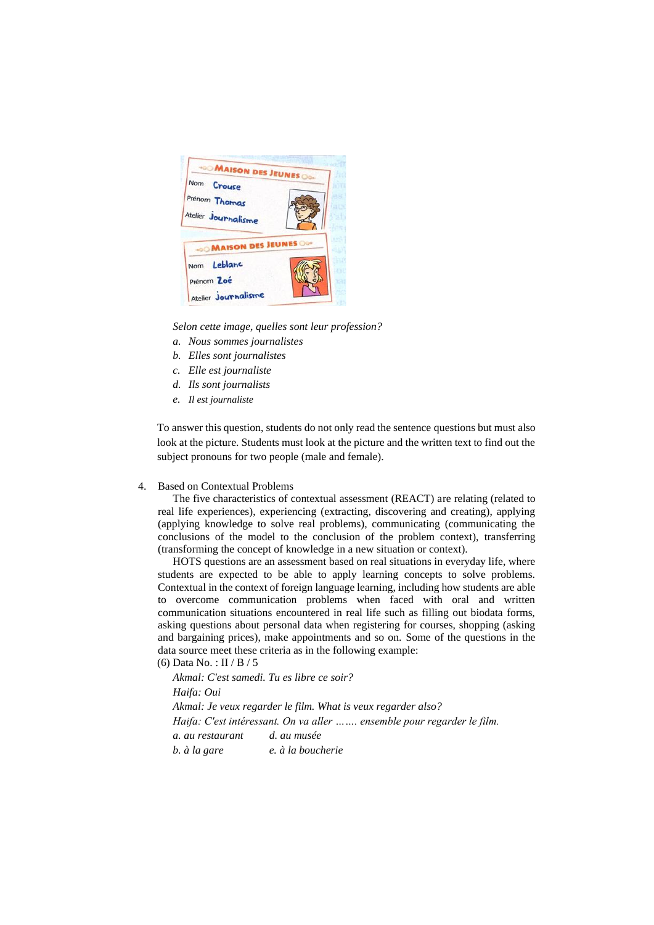

*Selon cette image, quelles sont leur profession?*

- *a. Nous sommes journalistes*
- *b. Elles sont journalistes*
- *c. Elle est journaliste*
- *d. Ils sont journalists*
- *e. Il est journaliste*

To answer this question, students do not only read the sentence questions but must also look at the picture. Students must look at the picture and the written text to find out the subject pronouns for two people (male and female).

## 4. Based on Contextual Problems

The five characteristics of contextual assessment (REACT) are relating (related to real life experiences), experiencing (extracting, discovering and creating), applying (applying knowledge to solve real problems), communicating (communicating the conclusions of the model to the conclusion of the problem context), transferring (transforming the concept of knowledge in a new situation or context).

HOTS questions are an assessment based on real situations in everyday life, where students are expected to be able to apply learning concepts to solve problems. Contextual in the context of foreign language learning, including how students are able to overcome communication problems when faced with oral and written communication situations encountered in real life such as filling out biodata forms, asking questions about personal data when registering for courses, shopping (asking and bargaining prices), make appointments and so on. Some of the questions in the data source meet these criteria as in the following example:

(6) Data No. : II / B / 5

*Akmal: C'est samedi. Tu es libre ce soir? Haifa: Oui Akmal: Je veux regarder le film. What is veux regarder also? Haifa: C'est intéressant. On va aller ……. ensemble pour regarder le film. a. au restaurant d. au musée b. à la gare e. à la boucherie*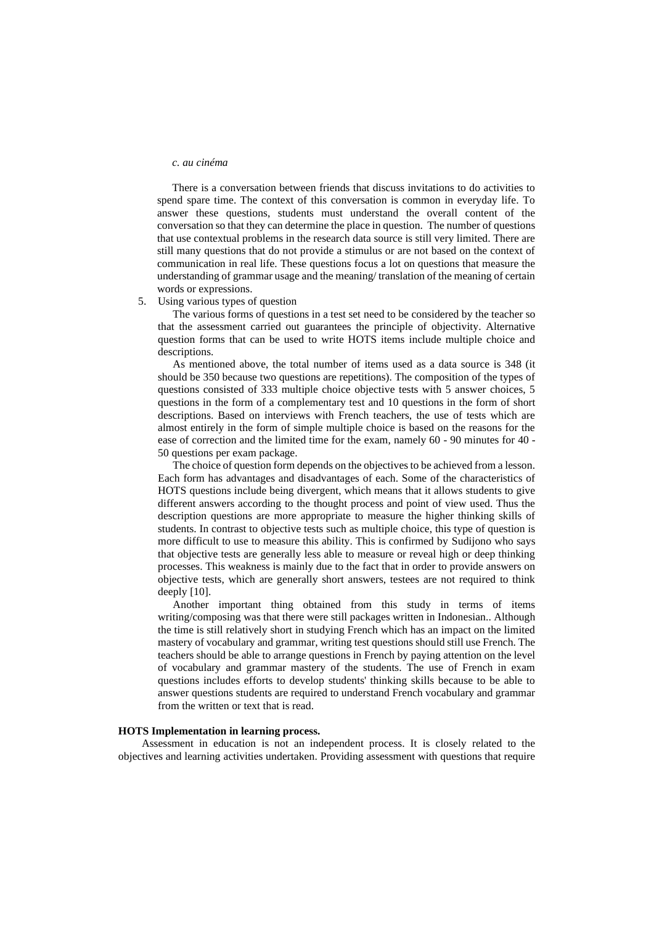#### *c. au cinéma*

There is a conversation between friends that discuss invitations to do activities to spend spare time. The context of this conversation is common in everyday life. To answer these questions, students must understand the overall content of the conversation so that they can determine the place in question. The number of questions that use contextual problems in the research data source is still very limited. There are still many questions that do not provide a stimulus or are not based on the context of communication in real life. These questions focus a lot on questions that measure the understanding of grammar usage and the meaning/ translation of the meaning of certain words or expressions.

#### 5. Using various types of question

The various forms of questions in a test set need to be considered by the teacher so that the assessment carried out guarantees the principle of objectivity. Alternative question forms that can be used to write HOTS items include multiple choice and descriptions.

As mentioned above, the total number of items used as a data source is 348 (it should be 350 because two questions are repetitions). The composition of the types of questions consisted of 333 multiple choice objective tests with 5 answer choices, 5 questions in the form of a complementary test and 10 questions in the form of short descriptions. Based on interviews with French teachers, the use of tests which are almost entirely in the form of simple multiple choice is based on the reasons for the ease of correction and the limited time for the exam, namely 60 - 90 minutes for 40 - 50 questions per exam package.

The choice of question form depends on the objectives to be achieved from a lesson. Each form has advantages and disadvantages of each. Some of the characteristics of HOTS questions include being divergent, which means that it allows students to give different answers according to the thought process and point of view used. Thus the description questions are more appropriate to measure the higher thinking skills of students. In contrast to objective tests such as multiple choice, this type of question is more difficult to use to measure this ability. This is confirmed by Sudijono who says that objective tests are generally less able to measure or reveal high or deep thinking processes. This weakness is mainly due to the fact that in order to provide answers on objective tests, which are generally short answers, testees are not required to think deeply [10].

Another important thing obtained from this study in terms of items writing/composing was that there were still packages written in Indonesian.. Although the time is still relatively short in studying French which has an impact on the limited mastery of vocabulary and grammar, writing test questions should still use French. The teachers should be able to arrange questions in French by paying attention on the level of vocabulary and grammar mastery of the students. The use of French in exam questions includes efforts to develop students' thinking skills because to be able to answer questions students are required to understand French vocabulary and grammar from the written or text that is read.

### **HOTS Implementation in learning process.**

Assessment in education is not an independent process. It is closely related to the objectives and learning activities undertaken. Providing assessment with questions that require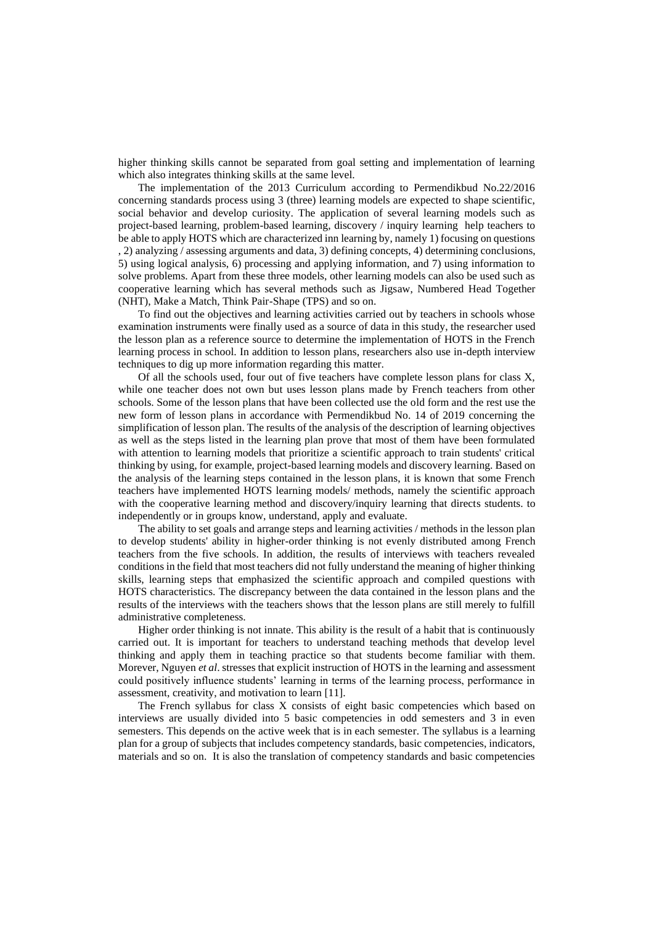higher thinking skills cannot be separated from goal setting and implementation of learning which also integrates thinking skills at the same level.

The implementation of the 2013 Curriculum according to Permendikbud No.22/2016 concerning standards process using 3 (three) learning models are expected to shape scientific, social behavior and develop curiosity. The application of several learning models such as project-based learning, problem-based learning, discovery / inquiry learning help teachers to be able to apply HOTS which are characterized inn learning by, namely 1) focusing on questions , 2) analyzing / assessing arguments and data, 3) defining concepts, 4) determining conclusions, 5) using logical analysis, 6) processing and applying information, and 7) using information to solve problems. Apart from these three models, other learning models can also be used such as cooperative learning which has several methods such as Jigsaw, Numbered Head Together (NHT), Make a Match, Think Pair-Shape (TPS) and so on.

To find out the objectives and learning activities carried out by teachers in schools whose examination instruments were finally used as a source of data in this study, the researcher used the lesson plan as a reference source to determine the implementation of HOTS in the French learning process in school. In addition to lesson plans, researchers also use in-depth interview techniques to dig up more information regarding this matter.

Of all the schools used, four out of five teachers have complete lesson plans for class X, while one teacher does not own but uses lesson plans made by French teachers from other schools. Some of the lesson plans that have been collected use the old form and the rest use the new form of lesson plans in accordance with Permendikbud No. 14 of 2019 concerning the simplification of lesson plan. The results of the analysis of the description of learning objectives as well as the steps listed in the learning plan prove that most of them have been formulated with attention to learning models that prioritize a scientific approach to train students' critical thinking by using, for example, project-based learning models and discovery learning. Based on the analysis of the learning steps contained in the lesson plans, it is known that some French teachers have implemented HOTS learning models/ methods, namely the scientific approach with the cooperative learning method and discovery/inquiry learning that directs students. to independently or in groups know, understand, apply and evaluate.

The ability to set goals and arrange steps and learning activities / methods in the lesson plan to develop students' ability in higher-order thinking is not evenly distributed among French teachers from the five schools. In addition, the results of interviews with teachers revealed conditions in the field that most teachers did not fully understand the meaning of higher thinking skills, learning steps that emphasized the scientific approach and compiled questions with HOTS characteristics. The discrepancy between the data contained in the lesson plans and the results of the interviews with the teachers shows that the lesson plans are still merely to fulfill administrative completeness.

Higher order thinking is not innate. This ability is the result of a habit that is continuously carried out. It is important for teachers to understand teaching methods that develop level thinking and apply them in teaching practice so that students become familiar with them. Morever, Nguyen *et al*. stresses that explicit instruction of HOTS in the learning and assessment could positively influence students' learning in terms of the learning process, performance in assessment, creativity, and motivation to learn [11].

The French syllabus for class X consists of eight basic competencies which based on interviews are usually divided into 5 basic competencies in odd semesters and 3 in even semesters. This depends on the active week that is in each semester. The syllabus is a learning plan for a group of subjects that includes competency standards, basic competencies, indicators, materials and so on. It is also the translation of competency standards and basic competencies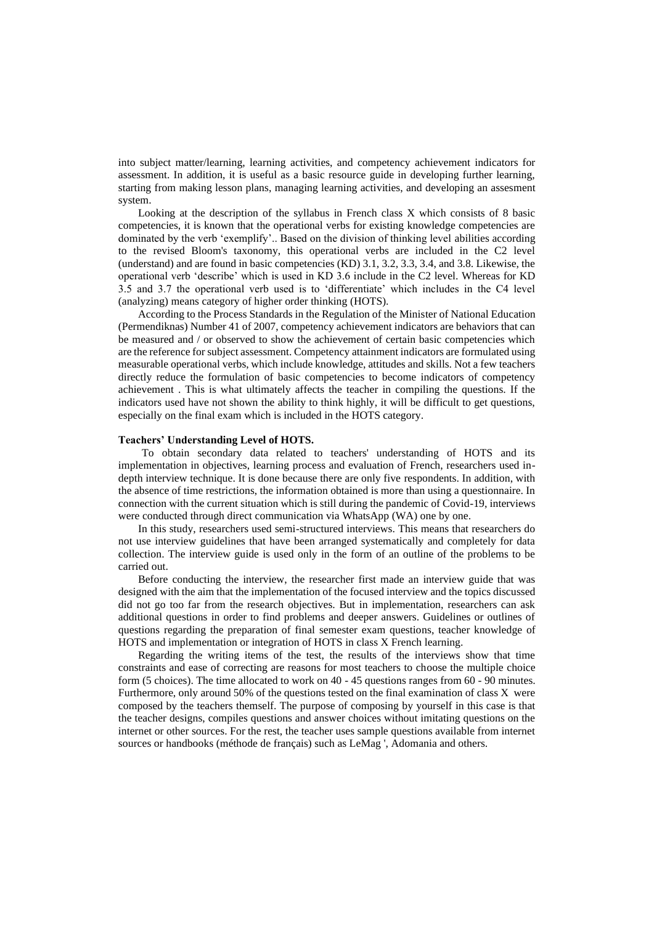into subject matter/learning, learning activities, and competency achievement indicators for assessment. In addition, it is useful as a basic resource guide in developing further learning, starting from making lesson plans, managing learning activities, and developing an assesment system.

Looking at the description of the syllabus in French class X which consists of 8 basic competencies, it is known that the operational verbs for existing knowledge competencies are dominated by the verb 'exemplify'.. Based on the division of thinking level abilities according to the revised Bloom's taxonomy, this operational verbs are included in the C2 level (understand) and are found in basic competencies (KD) 3.1, 3.2, 3.3, 3.4, and 3.8. Likewise, the operational verb 'describe' which is used in KD 3.6 include in the C2 level. Whereas for KD 3.5 and 3.7 the operational verb used is to 'differentiate' which includes in the C4 level (analyzing) means category of higher order thinking (HOTS).

According to the Process Standards in the Regulation of the Minister of National Education (Permendiknas) Number 41 of 2007, competency achievement indicators are behaviors that can be measured and / or observed to show the achievement of certain basic competencies which are the reference for subject assessment. Competency attainment indicators are formulated using measurable operational verbs, which include knowledge, attitudes and skills. Not a few teachers directly reduce the formulation of basic competencies to become indicators of competency achievement . This is what ultimately affects the teacher in compiling the questions. If the indicators used have not shown the ability to think highly, it will be difficult to get questions, especially on the final exam which is included in the HOTS category.

#### **Teachers' Understanding Level of HOTS.**

To obtain secondary data related to teachers' understanding of HOTS and its implementation in objectives, learning process and evaluation of French, researchers used indepth interview technique. It is done because there are only five respondents. In addition, with the absence of time restrictions, the information obtained is more than using a questionnaire. In connection with the current situation which is still during the pandemic of Covid-19, interviews were conducted through direct communication via WhatsApp (WA) one by one.

In this study, researchers used semi-structured interviews. This means that researchers do not use interview guidelines that have been arranged systematically and completely for data collection. The interview guide is used only in the form of an outline of the problems to be carried out.

Before conducting the interview, the researcher first made an interview guide that was designed with the aim that the implementation of the focused interview and the topics discussed did not go too far from the research objectives. But in implementation, researchers can ask additional questions in order to find problems and deeper answers. Guidelines or outlines of questions regarding the preparation of final semester exam questions, teacher knowledge of HOTS and implementation or integration of HOTS in class X French learning.

Regarding the writing items of the test, the results of the interviews show that time constraints and ease of correcting are reasons for most teachers to choose the multiple choice form (5 choices). The time allocated to work on 40 - 45 questions ranges from 60 - 90 minutes. Furthermore, only around 50% of the questions tested on the final examination of class X were composed by the teachers themself. The purpose of composing by yourself in this case is that the teacher designs, compiles questions and answer choices without imitating questions on the internet or other sources. For the rest, the teacher uses sample questions available from internet sources or handbooks (méthode de français) such as LeMag ', Adomania and others.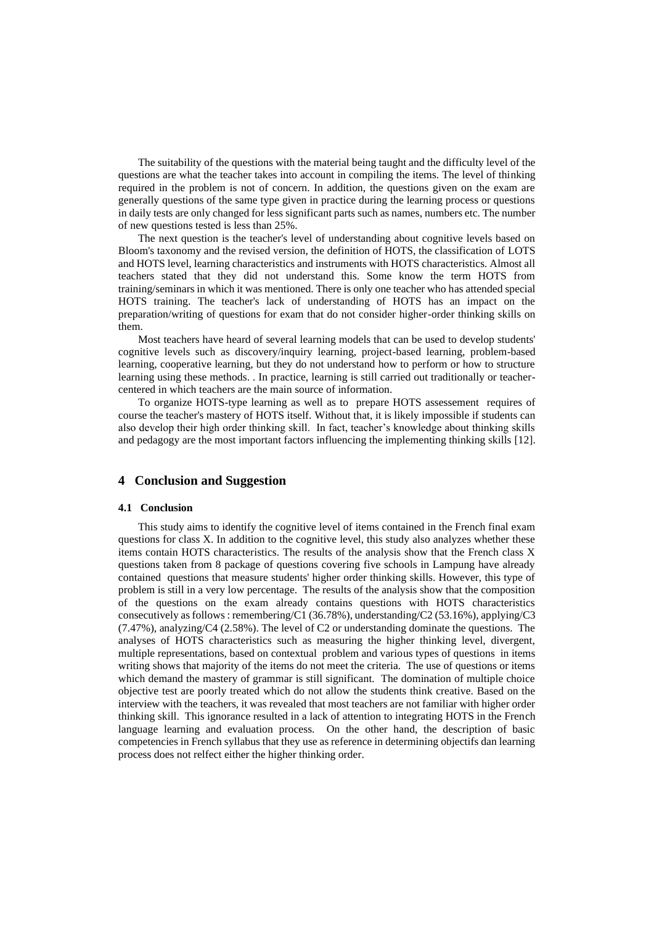The suitability of the questions with the material being taught and the difficulty level of the questions are what the teacher takes into account in compiling the items. The level of thinking required in the problem is not of concern. In addition, the questions given on the exam are generally questions of the same type given in practice during the learning process or questions in daily tests are only changed for less significant parts such as names, numbers etc. The number of new questions tested is less than 25%.

The next question is the teacher's level of understanding about cognitive levels based on Bloom's taxonomy and the revised version, the definition of HOTS, the classification of LOTS and HOTS level, learning characteristics and instruments with HOTS characteristics. Almost all teachers stated that they did not understand this. Some know the term HOTS from training/seminars in which it was mentioned. There is only one teacher who has attended special HOTS training. The teacher's lack of understanding of HOTS has an impact on the preparation/writing of questions for exam that do not consider higher-order thinking skills on them.

Most teachers have heard of several learning models that can be used to develop students' cognitive levels such as discovery/inquiry learning, project-based learning, problem-based learning, cooperative learning, but they do not understand how to perform or how to structure learning using these methods. . In practice, learning is still carried out traditionally or teachercentered in which teachers are the main source of information.

To organize HOTS-type learning as well as to prepare HOTS assessement requires of course the teacher's mastery of HOTS itself. Without that, it is likely impossible if students can also develop their high order thinking skill. In fact, teacher's knowledge about thinking skills and pedagogy are the most important factors influencing the implementing thinking skills [12].

# **4 Conclusion and Suggestion**

#### **4.1 Conclusion**

This study aims to identify the cognitive level of items contained in the French final exam questions for class X. In addition to the cognitive level, this study also analyzes whether these items contain HOTS characteristics. The results of the analysis show that the French class X questions taken from 8 package of questions covering five schools in Lampung have already contained questions that measure students' higher order thinking skills. However, this type of problem is still in a very low percentage. The results of the analysis show that the composition of the questions on the exam already contains questions with HOTS characteristics consecutively as follows : remembering/C1 (36.78%), understanding/C2 (53.16%), applying/C3 (7.47%), analyzing/C4 (2.58%). The level of C2 or understanding dominate the questions. The analyses of HOTS characteristics such as measuring the higher thinking level, divergent, multiple representations, based on contextual problem and various types of questions in items writing shows that majority of the items do not meet the criteria. The use of questions or items which demand the mastery of grammar is still significant. The domination of multiple choice objective test are poorly treated which do not allow the students think creative. Based on the interview with the teachers, it was revealed that most teachers are not familiar with higher order thinking skill. This ignorance resulted in a lack of attention to integrating HOTS in the French language learning and evaluation process. On the other hand, the description of basic competencies in French syllabus that they use as reference in determining objectifs dan learning process does not relfect either the higher thinking order.